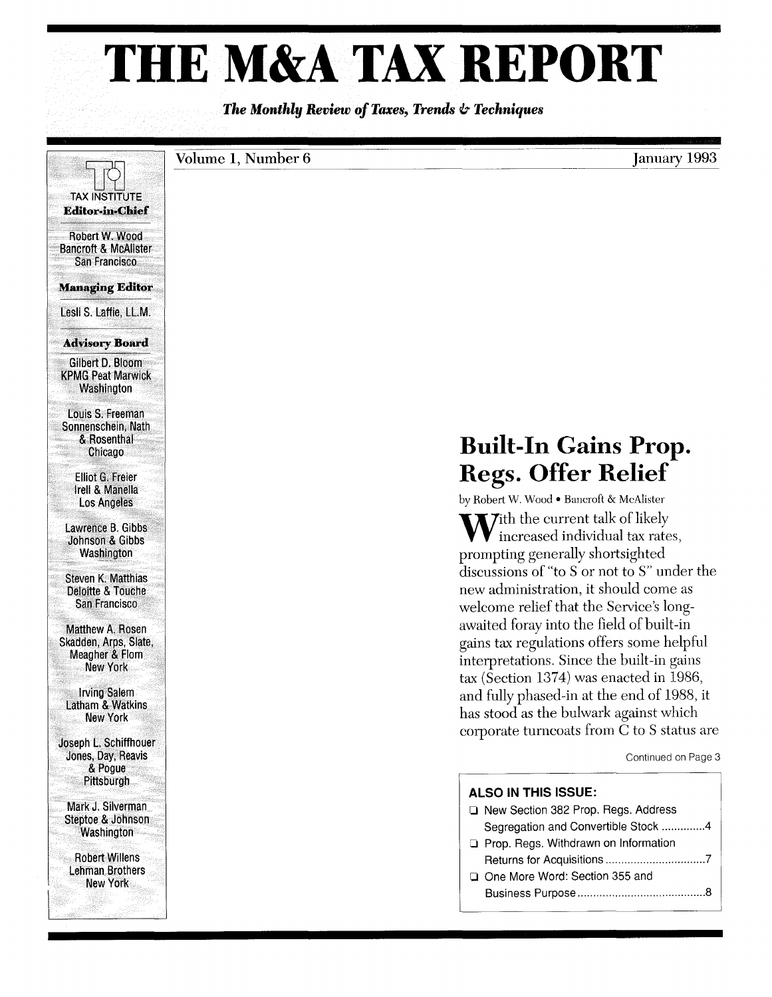# **THE M&A TAX REPORT**

*The Monthly Review of Taxes, Trends* **&** *Techniques* 

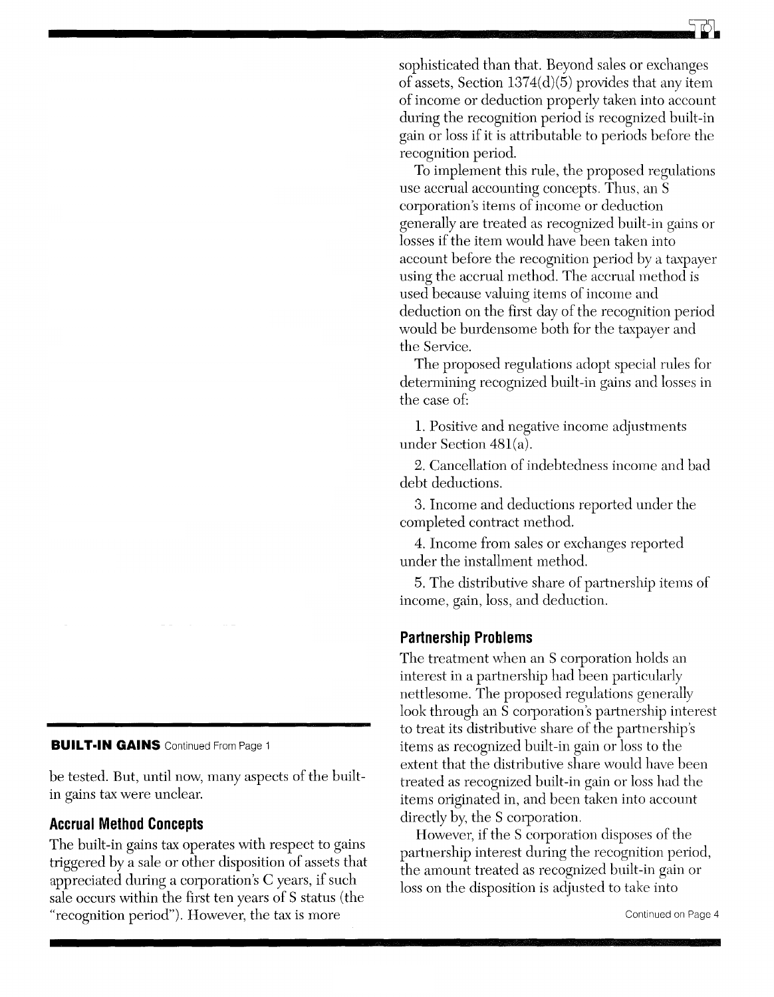sophisticated than that. Beyond sales or exchanges of assets, Section  $1374(d)(5)$  provides that any item of income or deduction properly taken into account during the recognition period is recognized built-in gain or loss if it is attributable to periods before the recognition period.

To implement this rule, the proposed regulations use accrual accounting concepts. Thus, an S corporation's items of income or deduction generally are treated as recognized built-in gains or losses if the item would have been taken into account before the recognition period by a taxpayer using the accrual method. The accrual method is used because valuing items of income and deduction on the first day of the recognition period would be burdensome both for the taxpayer and the Service.

The proposed regulations adopt special rules for determining recognized built-in gains and losses in the case of:

l. Positive and negative income adjustments under Section 481(a).

2. Cancellation of indebtedness income and bad debt deductions.

3. Income and deductions reported under the completed contract method.

4. Income from sales or exchanges reported under the installment method.

5. The distributive share of partnership items of income, gain, loss, and deduction.

## **Partnership Problems**

The treatment when an S corporation holds an interest in a partnership had been particularly nettlesome. The proposed regulations generally look through an S corporation's partnership interest to treat its distributive share of the partnership's items as recognized built-in gain or loss to the extent that the distributive share would have been treated as recognized built-in gain or loss had the items originated in, and been taken into account directly by, the S corporation.

However, if the S corporation disposes of the pattnership interest during the recognition period, the amount treated as recognized built-in gain or loss on the disposition is adjusted to take into

#### **BUILT-IN GAINS** Continued From Page 1

be tested. But, until now, many aspects of the builtin gains tax were unclear.

#### **Accrual Method Concepts**

The built-in gains tax operates with respect to gains triggered by a sale or other disposition of assets that appreciated during a corporation's C years, if such sale occurs within the first ten years of S status (the "recognition period"). However, the tax is more